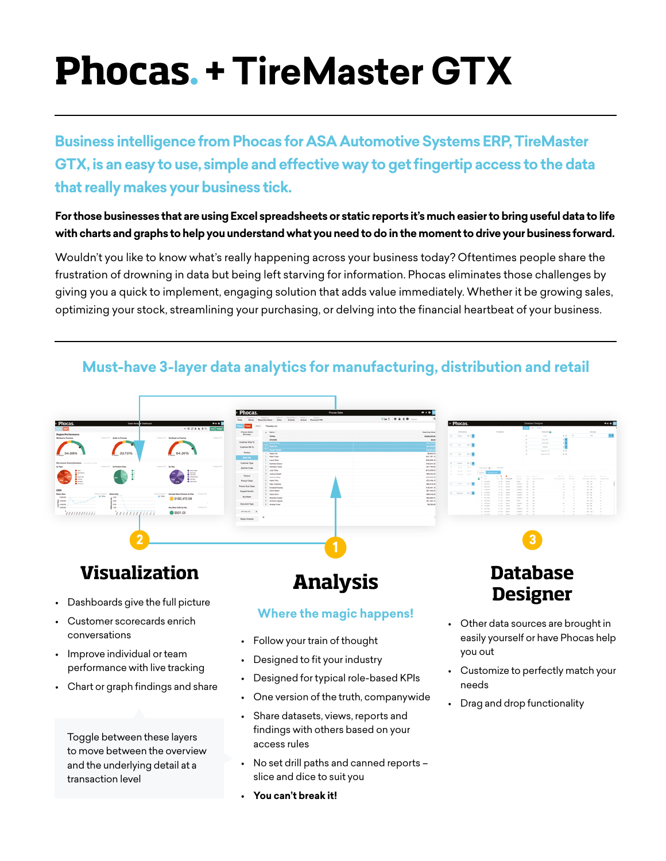# **Phocas**. **+ TireMaster GTX**

**Business intelligence from Phocas for ASA Automotive Systems ERP, TireMaster GTX, is an easy to use, simple and effective way to get fingertip access to the data that really makes your business tick.** 

#### **For those businesses that are using Excel spreadsheets or static reports it's much easier to bring useful data to life with charts and graphs to help you understand what you need to do in the moment to drive your business forward.**

Wouldn't you like to know what's really happening across your business today? Oftentimes people share the frustration of drowning in data but being left starving for information. Phocas eliminates those challenges by giving you a quick to implement, engaging solution that adds value immediately. Whether it be growing sales, optimizing your stock, streamlining your purchasing, or delving into the financial heartbeat of your business.



## **Must-have 3-layer data analytics for manufacturing, distribution and retail**

Toggle between these layers to move between the overview and the underlying detail at a transaction level

• No set drill paths and canned reports – slice and dice to suit you

**• You can't break it!**

access rules